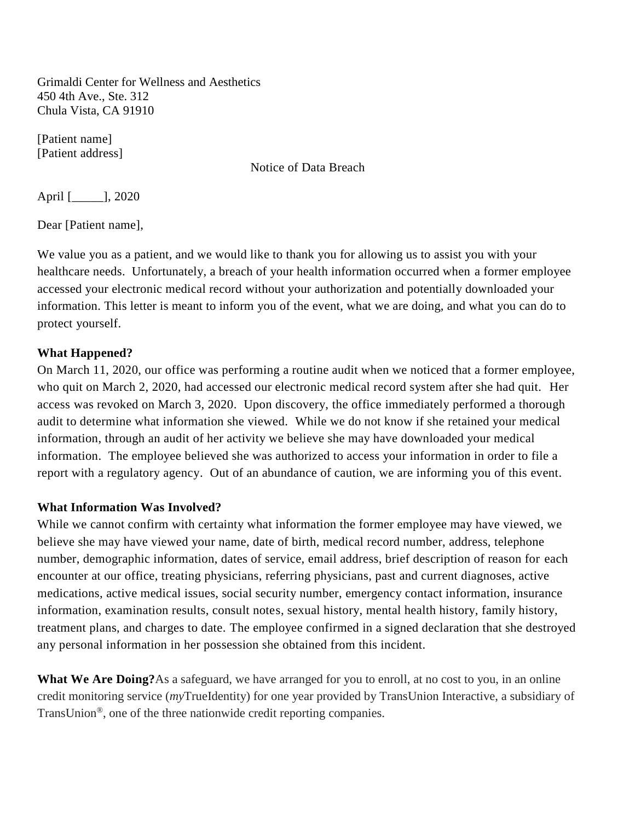Grimaldi Center for Wellness and Aesthetics 450 4th Ave., Ste. 312 Chula Vista, CA 91910

[Patient name] [Patient address]

Notice of Data Breach

April [\_\_\_\_\_], 2020

Dear [Patient name],

We value you as a patient, and we would like to thank you for allowing us to assist you with your healthcare needs. Unfortunately, a breach of your health information occurred when a former employee accessed your electronic medical record without your authorization and potentially downloaded your information. This letter is meant to inform you of the event, what we are doing, and what you can do to protect yourself.

## **What Happened?**

On March 11, 2020, our office was performing a routine audit when we noticed that a former employee, who quit on March 2, 2020, had accessed our electronic medical record system after she had quit. Her access was revoked on March 3, 2020. Upon discovery, the office immediately performed a thorough audit to determine what information she viewed. While we do not know if she retained your medical information, through an audit of her activity we believe she may have downloaded your medical information. The employee believed she was authorized to access your information in order to file a report with a regulatory agency. Out of an abundance of caution, we are informing you of this event.

## **What Information Was Involved?**

While we cannot confirm with certainty what information the former employee may have viewed, we believe she may have viewed your name, date of birth, medical record number, address, telephone number, demographic information, dates of service, email address, brief description of reason for each encounter at our office, treating physicians, referring physicians, past and current diagnoses, active medications, active medical issues, social security number, emergency contact information, insurance information, examination results, consult notes, sexual history, mental health history, family history, treatment plans, and charges to date. The employee confirmed in a signed declaration that she destroyed any personal information in her possession she obtained from this incident.

**What We Are Doing?**As a safeguard, we have arranged for you to enroll, at no cost to you, in an online credit monitoring service (*my*TrueIdentity) for one year provided by TransUnion Interactive, a subsidiary of TransUnion®, one of the three nationwide credit reporting companies.